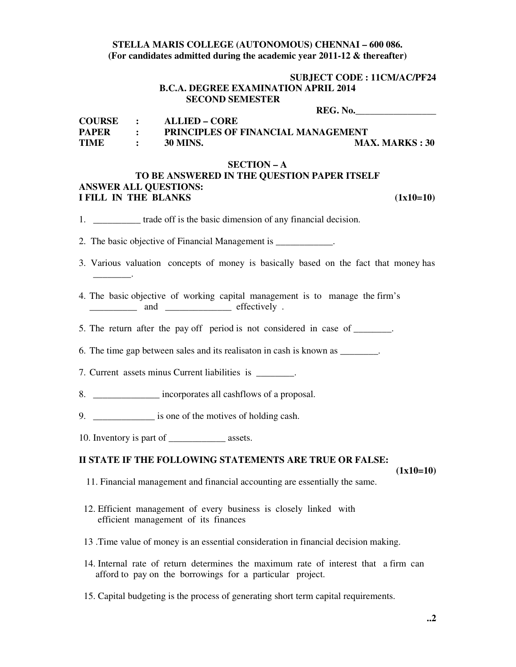### **STELLA MARIS COLLEGE (AUTONOMOUS) CHENNAI – 600 086. (For candidates admitted during the academic year 2011-12 & thereafter)**

### **SUBJECT CODE : 11CM/AC/PF24 B.C.A. DEGREE EXAMINATION APRIL 2014 SECOND SEMESTER**

 **REG. No.\_\_\_\_\_\_\_\_\_\_\_\_\_\_\_\_\_** 

| <b>COURSE</b> |                     | ALLIED – CORE                             |                        |
|---------------|---------------------|-------------------------------------------|------------------------|
| <b>PAPER</b>  |                     | <b>PRINCIPLES OF FINANCIAL MANAGEMENT</b> |                        |
| <b>TIME</b>   | $\sim$ 1.000 $\sim$ | 30 MINS.                                  | <b>MAX. MARKS</b> : 30 |

#### **SECTION – A**

## **TO BE ANSWERED IN THE QUESTION PAPER ITSELF ANSWER ALL QUESTIONS: I FILL IN THE BLANKS** (1x10=10)

- 1. \_\_\_\_\_\_\_\_\_\_\_ trade off is the basic dimension of any financial decision.
- 2. The basic objective of Financial Management is \_\_\_\_\_\_\_\_\_\_\_.
- 3. Various valuation concepts of money is basically based on the fact that money has \_\_\_\_\_\_\_\_.
- 4. The basic objective of working capital management is to manage the firm's and  $\qquad \qquad$  effectively .
- 5. The return after the pay off period is not considered in case of \_\_\_\_\_\_\_.

6. The time gap between sales and its realisaton in cash is known as \_\_\_\_\_\_\_\_.

7. Current assets minus Current liabilities is  $\blacksquare$ .

8. **S** incorporates all cashflows of a proposal.

9. \_\_\_\_\_\_\_\_\_\_\_\_\_ is one of the motives of holding cash.

10. Inventory is part of \_\_\_\_\_\_\_\_\_\_\_\_\_\_\_ assets.

## **II STATE IF THE FOLLOWING STATEMENTS ARE TRUE OR FALSE:**

 **(1x10=10)** 

- 11. Financial management and financial accounting are essentially the same.
- 12. Efficient management of every business is closely linked with efficient management of its finances
- 13 .Time value of money is an essential consideration in financial decision making.
- 14. Internal rate of return determines the maximum rate of interest that a firm can afford to pay on the borrowings for a particular project.
- 15. Capital budgeting is the process of generating short term capital requirements.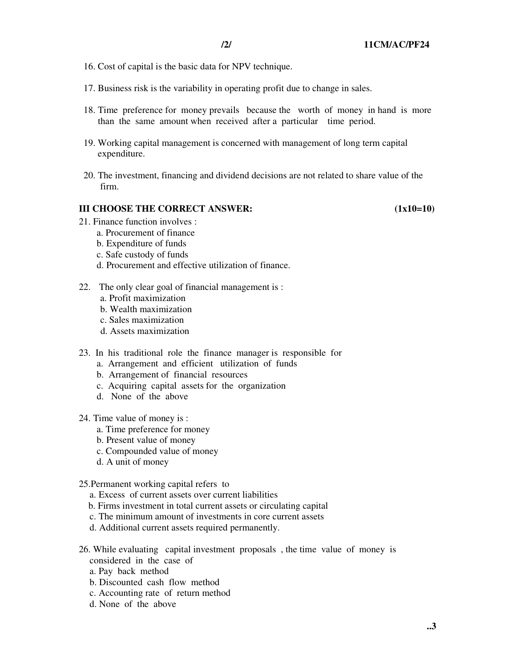- 16. Cost of capital is the basic data for NPV technique.
- 17. Business risk is the variability in operating profit due to change in sales.
- 18. Time preference for money prevails because the worth of money in hand is more than the same amount when received after a particular time period.
- 19. Working capital management is concerned with management of long term capital expenditure.
- 20. The investment, financing and dividend decisions are not related to share value of the firm.

## **III CHOOSE THE CORRECT ANSWER:** (1x10=10)

- 21. Finance function involves :
	- a. Procurement of finance
	- b. Expenditure of funds
	- c. Safe custody of funds
	- d. Procurement and effective utilization of finance.
- 22. The only clear goal of financial management is :
	- a. Profit maximization
	- b. Wealth maximization
	- c. Sales maximization
	- d. Assets maximization
- 23. In his traditional role the finance manager is responsible for
	- a. Arrangement and efficient utilization of funds
	- b. Arrangement of financial resources
	- c. Acquiring capital assets for the organization
	- d. None of the above
- 24. Time value of money is :
	- a. Time preference for money
	- b. Present value of money
	- c. Compounded value of money
	- d. A unit of money
- 25.Permanent working capital refers to
	- a. Excess of current assets over current liabilities
	- b. Firms investment in total current assets or circulating capital
	- c. The minimum amount of investments in core current assets
	- d. Additional current assets required permanently.
- 26. While evaluating capital investment proposals , the time value of money is considered in the case of
	- a. Pay back method
	- b. Discounted cash flow method
	- c. Accounting rate of return method
	- d. None of the above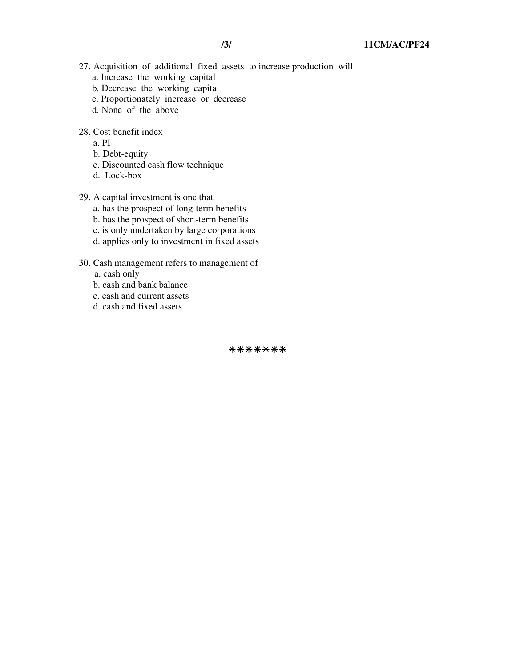- 27. Acquisition of additional fixed assets to increase production will a. Increase the working capital
	- b. Decrease the working capital
	- c. Proportionately increase or decrease
	- d. None of the above
- 28. Cost benefit index
	- a. PI
	- b. Debt-equity
	- c. Discounted cash flow technique
	- d. Lock-box
- 29. A capital investment is one that
	- a. has the prospect of long-term benefits
	- b. has the prospect of short-term benefits
	- c. is only undertaken by large corporations
	- d. applies only to investment in fixed assets
- 30. Cash management refers to management of
	- a. cash only
	- b. cash and bank balance
	- c. cash and current assets
	- d. cash and fixed assets

\*\*\*\*\*\*\*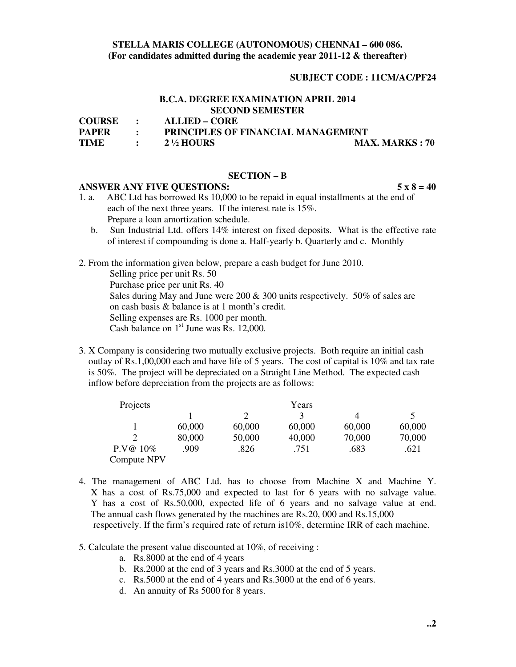## **STELLA MARIS COLLEGE (AUTONOMOUS) CHENNAI – 600 086. (For candidates admitted during the academic year 2011-12 & thereafter)**

#### **SUBJECT CODE : 11CM/AC/PF24**

# **B.C.A. DEGREE EXAMINATION APRIL 2014 SECOND SEMESTER**

**COURSE : ALLIED – CORE** 

**PAPER : PRINCIPLES OF FINANCIAL MANAGEMENT** 

**TIME : 2 ½ HOURS MAX. MARKS : 70** 

#### **SECTION – B**

#### **ANSWER ANY FIVE QUESTIONS: 5 x 8 = 40**

- 1. a. ABC Ltd has borrowed Rs 10,000 to be repaid in equal installments at the end of each of the next three years. If the interest rate is 15%. Prepare a loan amortization schedule.
	- b. Sun Industrial Ltd. offers 14% interest on fixed deposits. What is the effective rate of interest if compounding is done a. Half-yearly b. Quarterly and c. Monthly
- 2. From the information given below, prepare a cash budget for June 2010.

 Selling price per unit Rs. 50 Purchase price per unit Rs. 40 Sales during May and June were 200  $\&$  300 units respectively. 50% of sales are on cash basis & balance is at 1 month's credit. Selling expenses are Rs. 1000 per month. Cash balance on  $1<sup>st</sup>$  June was Rs. 12,000.

3. X Company is considering two mutually exclusive projects. Both require an initial cash outlay of Rs.1,00,000 each and have life of 5 years. The cost of capital is 10% and tax rate is 50%. The project will be depreciated on a Straight Line Method. The expected cash inflow before depreciation from the projects are as follows:

| Projects    |        |        | Years  |        |        |
|-------------|--------|--------|--------|--------|--------|
|             |        |        | ζ      | 4      |        |
|             | 60,000 | 60,000 | 60,000 | 60,000 | 60,000 |
|             | 80,000 | 50,000 | 40,000 | 70,000 | 70,000 |
| $P.V@10\%$  | .909   | .826   | .751   | .683   | .621   |
| Compute NPV |        |        |        |        |        |

- 4. The management of ABC Ltd. has to choose from Machine X and Machine Y. X has a cost of Rs.75,000 and expected to last for 6 years with no salvage value. Y has a cost of Rs.50,000, expected life of 6 years and no salvage value at end. The annual cash flows generated by the machines are Rs.20, 000 and Rs.15,000 respectively. If the firm's required rate of return is10%, determine IRR of each machine.
- 5. Calculate the present value discounted at 10%, of receiving :
	- a. Rs.8000 at the end of 4 years
	- b. Rs.2000 at the end of 3 years and Rs.3000 at the end of 5 years.
	- c. Rs.5000 at the end of 4 years and Rs.3000 at the end of 6 years.
	- d. An annuity of Rs 5000 for 8 years.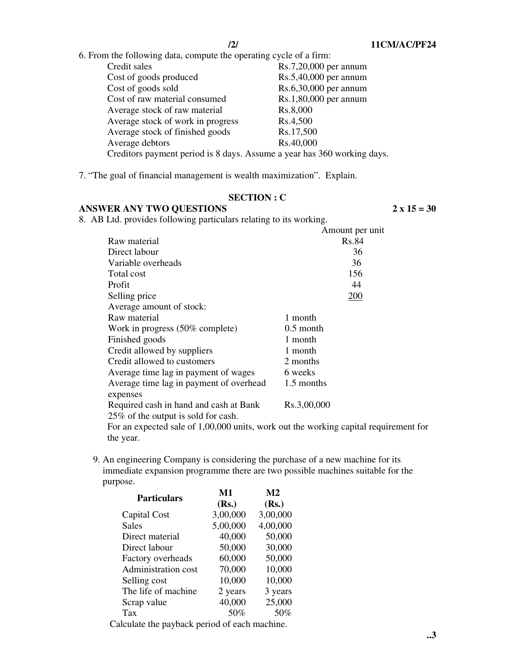6. From the following data, compute the operating cycle of a firm:

| Credit sales                                                            | Rs.7,20,000 per annum |
|-------------------------------------------------------------------------|-----------------------|
| Cost of goods produced                                                  | Rs.5,40,000 per annum |
| Cost of goods sold                                                      | Rs.6,30,000 per annum |
| Cost of raw material consumed                                           | Rs.1,80,000 per annum |
| Average stock of raw material                                           | Rs.8,000              |
| Average stock of work in progress                                       | Rs.4,500              |
| Average stock of finished goods                                         | Rs.17,500             |
| Average debtors                                                         | Rs.40,000             |
| Creditors payment period is 8 days. Assume a year has 360 working days. |                       |
|                                                                         |                       |

7. "The goal of financial management is wealth maximization". Explain.

# **SECTION : C**

# **ANSWER ANY TWO QUESTIONS 2 x 15 = 30**

8. AB Ltd. provides following particulars relating to its working.

|                                                                               | Amount per unit |
|-------------------------------------------------------------------------------|-----------------|
| Raw material                                                                  | Rs.84           |
| Direct labour                                                                 | 36              |
| Variable overheads                                                            | 36              |
| Total cost                                                                    | 156             |
| Profit                                                                        | 44              |
| Selling price                                                                 | 200             |
| Average amount of stock:                                                      |                 |
| Raw material                                                                  | 1 month         |
| Work in progress (50% complete)                                               | $0.5$ month     |
| Finished goods                                                                | 1 month         |
| Credit allowed by suppliers                                                   | 1 month         |
| Credit allowed to customers                                                   | 2 months        |
| Average time lag in payment of wages                                          | 6 weeks         |
| Average time lag in payment of overhead<br>expenses                           | 1.5 months      |
| Required cash in hand and cash at Bank<br>25% of the output is sold for cash. | Rs.3,00,000     |
| For an expected sale of 1,00,000 units, work out the working capital requirem |                 |

ale of 1,00,000 units, work out the working capital requirement for the year.

9. An engineering Company is considering the purchase of a new machine for its immediate expansion programme there are two possible machines suitable for the purpose.

| <b>Particulars</b>                                                                                | M1       | M <sub>2</sub> |  |
|---------------------------------------------------------------------------------------------------|----------|----------------|--|
|                                                                                                   | (Rs.)    | (Rs.)          |  |
| Capital Cost                                                                                      | 3,00,000 | 3,00,000       |  |
| <b>Sales</b>                                                                                      | 5,00,000 | 4,00,000       |  |
| Direct material                                                                                   | 40,000   | 50,000         |  |
| Direct labour                                                                                     | 50,000   | 30,000         |  |
| Factory overheads                                                                                 | 60,000   | 50,000         |  |
| Administration cost                                                                               | 70,000   | 10,000         |  |
| Selling cost                                                                                      | 10,000   | 10,000         |  |
| The life of machine                                                                               | 2 years  | 3 years        |  |
| Scrap value                                                                                       | 40,000   | 25,000         |  |
| Tax                                                                                               | 50%      | 50%            |  |
| . The closed set of the contract of the contract of the contract of the contract of $\mathcal{L}$ |          |                |  |

Calculate the payback period of each machine.